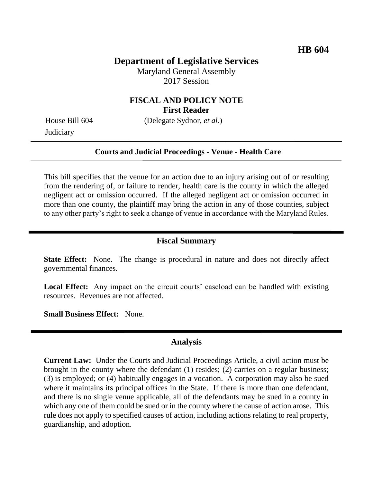## **Department of Legislative Services**

Maryland General Assembly 2017 Session

### **FISCAL AND POLICY NOTE First Reader**

**Judiciary** 

House Bill 604 (Delegate Sydnor, *et al.*)

#### **Courts and Judicial Proceedings - Venue - Health Care**

This bill specifies that the venue for an action due to an injury arising out of or resulting from the rendering of, or failure to render, health care is the county in which the alleged negligent act or omission occurred. If the alleged negligent act or omission occurred in more than one county, the plaintiff may bring the action in any of those counties, subject to any other party's right to seek a change of venue in accordance with the Maryland Rules.

### **Fiscal Summary**

**State Effect:** None. The change is procedural in nature and does not directly affect governmental finances.

Local Effect: Any impact on the circuit courts' caseload can be handled with existing resources. Revenues are not affected.

**Small Business Effect:** None.

### **Analysis**

**Current Law:** Under the Courts and Judicial Proceedings Article, a civil action must be brought in the county where the defendant (1) resides; (2) carries on a regular business; (3) is employed; or (4) habitually engages in a vocation. A corporation may also be sued where it maintains its principal offices in the State. If there is more than one defendant, and there is no single venue applicable, all of the defendants may be sued in a county in which any one of them could be sued or in the county where the cause of action arose. This rule does not apply to specified causes of action, including actions relating to real property, guardianship, and adoption.